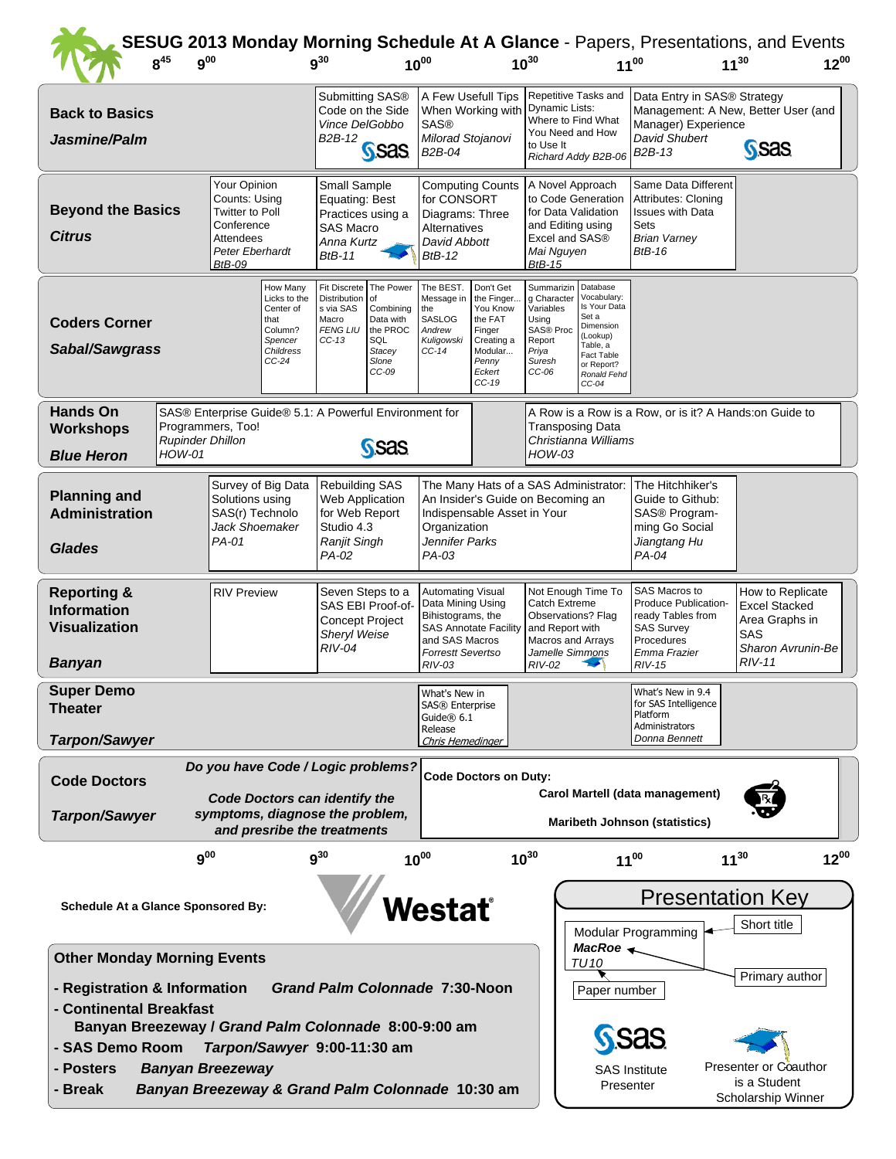|                                                                                                                                                                                                                                                  | $8^{45}$<br>$9^{00}$                     |                    |                                                                                                                                                                                                                                                           | $9^{30}$                                                                      |                                                                                                                              | $10^{00}$                                                                                                       |                                                                                                                                     | $10^{30}$                                                                                                                                          |                                                                                                                                | $11^{00}$                                                                                               | SESUG 2013 Monday Morning Schedule At A Glance - Papers, Presentations, and Events<br>$12^{00}$<br>$11^{30}$ |  |  |  |
|--------------------------------------------------------------------------------------------------------------------------------------------------------------------------------------------------------------------------------------------------|------------------------------------------|--------------------|-----------------------------------------------------------------------------------------------------------------------------------------------------------------------------------------------------------------------------------------------------------|-------------------------------------------------------------------------------|------------------------------------------------------------------------------------------------------------------------------|-----------------------------------------------------------------------------------------------------------------|-------------------------------------------------------------------------------------------------------------------------------------|----------------------------------------------------------------------------------------------------------------------------------------------------|--------------------------------------------------------------------------------------------------------------------------------|---------------------------------------------------------------------------------------------------------|--------------------------------------------------------------------------------------------------------------|--|--|--|
| <b>Back to Basics</b><br>Jasmine/Palm                                                                                                                                                                                                            |                                          |                    |                                                                                                                                                                                                                                                           | Submitting SAS®<br>Code on the Side<br>Vince DelGobbo<br>B2B-12               | S <sub>Sas</sub>                                                                                                             | A Few Usefull Tips<br>When Working with<br><b>SAS®</b><br>Milorad Stojanovi<br>B2B-04                           |                                                                                                                                     | Repetitive Tasks and<br>Dynamic Lists:<br>Where to Find What<br>You Need and How<br>to Use It<br>Richard Addy B2B-06                               |                                                                                                                                | Data Entry in SAS® Strategy<br>Manager) Experience<br>David Shubert<br>B <sub>2</sub> B-13              | Management: A New, Better User (and<br>S <sub>Sas</sub>                                                      |  |  |  |
| Your Opinion<br>Counts: Using<br><b>Beyond the Basics</b><br><b>Twitter to Poll</b><br>Conference<br><b>Citrus</b><br>Attendees<br>Peter Eberhardt<br><b>BtB-09</b>                                                                              |                                          |                    | Small Sample<br>Equating: Best<br>Practices using a<br>SAS Macro<br>Anna Kurtz<br><b>BtB-11</b>                                                                                                                                                           |                                                                               | <b>Computing Counts</b><br>for CONSORT<br>Diagrams: Three<br>Alternatives<br>David Abbott<br>$BtB-12$                        |                                                                                                                 | A Novel Approach<br>to Code Generation<br>for Data Validation<br>and Editing using<br>Excel and SAS®<br>Mai Nguyen<br><b>BtB-15</b> |                                                                                                                                                    | Same Data Different<br>Attributes: Cloning<br><b>Issues with Data</b><br>Sets<br><b>Brian Varney</b><br><b>BtB-16</b>          |                                                                                                         |                                                                                                              |  |  |  |
| How Many<br>Licks to the<br>Center of<br>that<br><b>Coders Corner</b><br>Column?<br>Spencer<br>Sabal/Sawgrass<br><b>Childress</b><br>$CC-24$                                                                                                     |                                          |                    | Fit Discrete   The Power<br>Distribution<br>s via SAS<br>Macro<br><b>FENG LIU</b><br>$CC-13$                                                                                                                                                              | l of<br>Combining<br>Data with<br>the PROC<br>SQL<br>Stacey<br>Slone<br>CC-09 | The BEST.<br>Message in<br>the<br><b>SASLOG</b><br>Andrew<br>Kuligowski<br>$CC-14$                                           | Don't Get<br>the Finger<br>You Know<br>the FAT<br>Finger<br>Creating a<br>Modular<br>Penny<br>Eckert<br>$CC-19$ | Summarizin<br>g Character<br>Variables<br>Using<br>SAS® Proc<br>Report<br>Priya<br>Suresh<br>$CC-06$                                | Database<br>Vocabulary:<br>Is Your Data<br>Set a<br>Dimension<br>(Lookup)<br>Table, a<br><b>Fact Table</b><br>or Report?<br>Ronald Fehd<br>$CC-04$ |                                                                                                                                |                                                                                                         |                                                                                                              |  |  |  |
| <b>Hands On</b><br><b>Workshops</b><br><b>Blue Heron</b>                                                                                                                                                                                         | <b>Rupinder Dhillon</b><br><b>HOW-01</b> | Programmers, Too!  | SAS® Enterprise Guide® 5.1: A Powerful Environment for                                                                                                                                                                                                    |                                                                               | S <sub>Sas</sub>                                                                                                             | <b>Transposing Data</b><br>Christianna Williams<br>$HOW-03$                                                     |                                                                                                                                     |                                                                                                                                                    |                                                                                                                                | A Row is a Row is a Row, or is it? A Hands: on Guide to                                                 |                                                                                                              |  |  |  |
| Survey of Big Data<br><b>Planning and</b><br>Solutions using<br><b>Administration</b><br>SAS(r) Technolo<br>Jack Shoemaker<br>PA-01<br><b>Glades</b>                                                                                             |                                          |                    | <b>Rebuilding SAS</b><br>The Many Hats of a SAS Administrator:<br>Web Application<br>An Insider's Guide on Becoming an<br>for Web Report<br>Indispensable Asset in Your<br>Studio 4.3<br>Organization<br>Jennifer Parks<br>Ranjit Singh<br>PA-02<br>PA-03 |                                                                               |                                                                                                                              |                                                                                                                 |                                                                                                                                     |                                                                                                                                                    | The Hitchhiker's<br>Guide to Github:<br>SAS® Program-<br>ming Go Social<br>Jiangtang Hu<br>PA-04                               |                                                                                                         |                                                                                                              |  |  |  |
| <b>Reporting &amp;</b><br><b>Information</b><br><b>Visualization</b><br><b>Banyan</b>                                                                                                                                                            |                                          | <b>RIV Preview</b> | Seven Steps to a<br>SAS EBI Proof-of-<br><b>Concept Project</b><br>Sheryl Weise<br>$RIV-04$                                                                                                                                                               |                                                                               | <b>Automating Visual</b><br>Data Mining Using<br>Bihistograms, the<br>and SAS Macros<br><b>Forrestt Severtso</b><br>$RIV-03$ | <b>SAS Annotate Facility</b>                                                                                    | Catch Extreme<br>Observations? Flag<br>and Report with<br>Macros and Arrays<br>Jamelle Simmons<br>RIV-02                            | Not Enough Time To                                                                                                                                 | SAS Macros to<br>Produce Publication-<br>ready Tables from<br><b>SAS Survey</b><br>Procedures<br>Emma Frazier<br><b>RIV-15</b> | How to Replicate<br><b>Excel Stacked</b><br>Area Graphs in<br>SAS<br>Sharon Avrunin-Be<br><b>RIV-11</b> |                                                                                                              |  |  |  |
| <b>Super Demo</b><br><b>Theater</b><br><b>Tarpon/Sawyer</b>                                                                                                                                                                                      |                                          |                    |                                                                                                                                                                                                                                                           |                                                                               |                                                                                                                              | What's New in<br>SAS® Enterprise<br>Guide $@$ 6.1<br>Release<br>Chris Hemedinger                                |                                                                                                                                     |                                                                                                                                                    |                                                                                                                                | What's New in 9.4<br>for SAS Intelligence<br>Platform<br>Administrators<br>Donna Bennett                |                                                                                                              |  |  |  |
| Do you have Code / Logic problems?<br><b>Code Doctors</b><br><b>Code Doctors can identify the</b><br>symptoms, diagnose the problem,<br><b>Tarpon/Sawyer</b><br>and presribe the treatments                                                      |                                          |                    |                                                                                                                                                                                                                                                           |                                                                               | <b>Code Doctors on Duty:</b><br>Carol Martell (data management)<br><b>Maribeth Johnson (statistics)</b>                      |                                                                                                                 |                                                                                                                                     |                                                                                                                                                    |                                                                                                                                |                                                                                                         |                                                                                                              |  |  |  |
|                                                                                                                                                                                                                                                  | $9^{00}$                                 |                    |                                                                                                                                                                                                                                                           | $9^{30}$                                                                      |                                                                                                                              | $10^{00}$                                                                                                       |                                                                                                                                     | $10^{30}$                                                                                                                                          |                                                                                                                                | $11^{00}$                                                                                               | $12^{00}$<br>$11^{30}$                                                                                       |  |  |  |
| <b>Schedule At a Glance Sponsored By:</b>                                                                                                                                                                                                        |                                          |                    |                                                                                                                                                                                                                                                           |                                                                               | Vestať                                                                                                                       |                                                                                                                 |                                                                                                                                     | <b>Presentation Key</b><br>Short title<br>Modular Programming                                                                                      |                                                                                                                                |                                                                                                         |                                                                                                              |  |  |  |
| <b>Other Monday Morning Events</b><br>- Registration & Information<br><b>Grand Palm Colonnade 7:30-Noon</b><br>- Continental Breakfast<br>Banyan Breezeway / Grand Palm Colonnade 8:00-9:00 am<br>- SAS Demo Room<br>Tarpon/Sawyer 9:00-11:30 am |                                          |                    |                                                                                                                                                                                                                                                           |                                                                               |                                                                                                                              |                                                                                                                 |                                                                                                                                     |                                                                                                                                                    | MacRoe $\leftarrow$<br>TU 10<br>Paper number                                                                                   | Primary author                                                                                          |                                                                                                              |  |  |  |
| <b>Banyan Breezeway</b><br>- Posters<br>Banyan Breezeway & Grand Palm Colonnade 10:30 am<br>- Break                                                                                                                                              |                                          |                    |                                                                                                                                                                                                                                                           |                                                                               |                                                                                                                              |                                                                                                                 | <b>SAS Institute</b><br>Presenter                                                                                                   |                                                                                                                                                    |                                                                                                                                |                                                                                                         | Presenter or Coauthor<br>is a Student<br>Scholarship Winner                                                  |  |  |  |